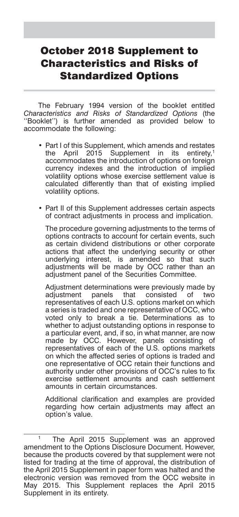# October 2018 Supplement to Characteristics and Risks of Standardized Options

The February 1994 version of the booklet entitled *Characteristics and Risks of Standardized Options* (the ''Booklet'') is further amended as provided below to accommodate the following:

- Part I of this Supplement, which amends and restates the April 2015 Supplement in its entirety,<sup>1</sup> accommodates the introduction of options on foreign currency indexes and the introduction of implied volatility options whose exercise settlement value is calculated differently than that of existing implied volatility options.
- Part II of this Supplement addresses certain aspects of contract adjustments in process and implication.

The procedure governing adjustments to the terms of options contracts to account for certain events, such as certain dividend distributions or other corporate actions that affect the underlying security or other underlying interest, is amended so that such adjustments will be made by OCC rather than an adjustment panel of the Securities Committee.

Adjustment determinations were previously made by adjustment panels that consisted of two representatives of each U.S. options market on which a series is traded and one representative of OCC, who voted only to break a tie. Determinations as to whether to adjust outstanding options in response to a particular event, and, if so, in what manner, are now made by OCC. However, panels consisting of representatives of each of the U.S. options markets on which the affected series of options is traded and one representative of OCC retain their functions and authority under other provisions of OCC's rules to fix exercise settlement amounts and cash settlement amounts in certain circumstances.

Additional clarification and examples are provided regarding how certain adjustments may affect an option's value.

The April 2015 Supplement was an approved amendment to the Options Disclosure Document. However, because the products covered by that supplement were not listed for trading at the time of approval, the distribution of the April 2015 Supplement in paper form was halted and the electronic version was removed from the OCC website in May 2015. This Supplement replaces the April 2015 Supplement in its entirety.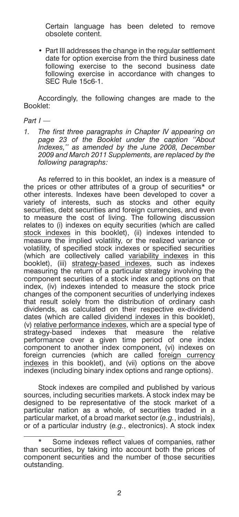Certain language has been deleted to remove obsolete content.

• Part III addresses the change in the regular settlement date for option exercise from the third business date following exercise to the second business date following exercise in accordance with changes to SEC Rule 15c6-1.

Accordingly, the following changes are made to the Booklet:

#### *Part I —*

*1. The first three paragraphs in Chapter IV appearing on page 23 of the Booklet under the caption ''About Indexes,'' as amended by the June 2008, December 2009 and March 2011 Supplements, are replaced by the following paragraphs:*

As referred to in this booklet, an index is a measure of the prices or other attributes of a group of securities\* or other interests. Indexes have been developed to cover a variety of interests, such as stocks and other equity securities, debt securities and foreign currencies, and even to measure the cost of living. The following discussion relates to (i) indexes on equity securities (which are called stock indexes in this booklet), (ii) indexes intended to measure the implied volatility, or the realized variance or volatility, of specified stock indexes or specified securities (which are collectively called variability indexes in this booklet), (iii) strategy-based indexes, such as indexes measuring the return of a particular strategy involving the component securities of a stock index and options on that index, (iv) indexes intended to measure the stock price changes of the component securities of underlying indexes that result solely from the distribution of ordinary cash dividends, as calculated on their respective ex-dividend dates (which are called dividend indexes in this booklet), (v) relative performance indexes, which are a special type of strategy-based indexes that measure the relative performance over a given time period of one index component to another index component, (vi) indexes on foreign currencies (which are called foreign currency indexes in this booklet), and (vii) options on the above indexes (including binary index options and range options).

Stock indexes are compiled and published by various sources, including securities markets. A stock index may be designed to be representative of the stock market of a particular nation as a whole, of securities traded in a particular market, of a broad market sector (*e.g.*, industrials), or of a particular industry (*e.g.*, electronics). A stock index

Some indexes reflect values of companies, rather than securities, by taking into account both the prices of component securities and the number of those securities outstanding.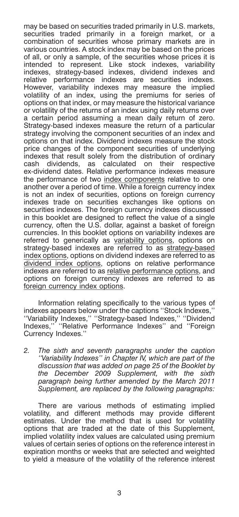may be based on securities traded primarily in U.S. markets, securities traded primarily in a foreign market, or a combination of securities whose primary markets are in various countries. A stock index may be based on the prices of all, or only a sample, of the securities whose prices it is intended to represent. Like stock indexes, variability indexes, strategy-based indexes, dividend indexes and relative performance indexes are securities indexes. However, variability indexes may measure the implied volatility of an index, using the premiums for series of options on that index, or may measure the historical variance or volatility of the returns of an index using daily returns over a certain period assuming a mean daily return of zero. Strategy-based indexes measure the return of a particular strategy involving the component securities of an index and options on that index. Dividend indexes measure the stock price changes of the component securities of underlying indexes that result solely from the distribution of ordinary cash dividends, as calculated on their respective ex-dividend dates. Relative performance indexes measure the performance of two index components relative to one another over a period of time. While a foreign currency index is not an index of securities, options on foreign currency indexes trade on securities exchanges like options on securities indexes. The foreign currency indexes discussed in this booklet are designed to reflect the value of a single currency, often the U.S. dollar, against a basket of foreign currencies. In this booklet options on variability indexes are referred to generically as variability options, options on strategy-based indexes are referred to as strategy-based index options, options on dividend indexes are referred to as dividend index options, options on relative performance indexes are referred to as relative performance options, and options on foreign currency indexes are referred to as foreign currency index options.

Information relating specifically to the various types of indexes appears below under the captions ''Stock Indexes,'' ''Variability Indexes,'' ''Strategy-based Indexes,'' ''Dividend Indexes,'' ''Relative Performance Indexes'' and ''Foreign Currency Indexes.''

*2. The sixth and seventh paragraphs under the caption ''Variability Indexes'' in Chapter IV, which are part of the discussion that was added on page 25 of the Booklet by the December 2009 Supplement, with the sixth paragraph being further amended by the March 2011 Supplement, are replaced by the following paragraphs:*

There are various methods of estimating implied volatility, and different methods may provide different estimates. Under the method that is used for volatility options that are traded at the date of this Supplement, implied volatility index values are calculated using premium values of certain series of options on the reference interest in expiration months or weeks that are selected and weighted to yield a measure of the volatility of the reference interest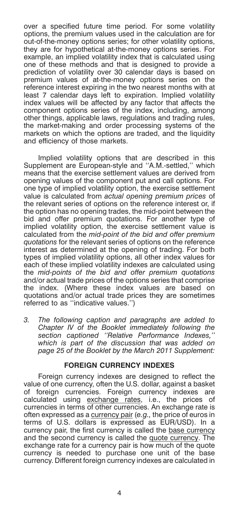over a specified future time period. For some volatility options, the premium values used in the calculation are for out-of-the-money options series; for other volatility options, they are for hypothetical at-the-money options series. For example, an implied volatility index that is calculated using one of these methods and that is designed to provide a prediction of volatility over 30 calendar days is based on premium values of at-the-money options series on the reference interest expiring in the two nearest months with at least 7 calendar days left to expiration. Implied volatility index values will be affected by any factor that affects the component options series of the index, including, among other things, applicable laws, regulations and trading rules, the market-making and order processing systems of the markets on which the options are traded, and the liquidity and efficiency of those markets.

Implied volatility options that are described in this Supplement are European-style and ''A.M.-settled,'' which means that the exercise settlement values are derived from opening values of the component put and call options. For one type of implied volatility option, the exercise settlement value is calculated from *actual opening premium prices* of the relevant series of options on the reference interest or, if the option has no opening trades, the mid-point between the bid and offer premium quotations. For another type of implied volatility option, the exercise settlement value is calculated from the *mid-point of the bid and offer premium quotations* for the relevant series of options on the reference interest as determined at the opening of trading. For both types of implied volatility options, all other index values for each of these implied volatility indexes are calculated using the *mid-points of the bid and offer premium quotations* and/or actual trade prices of the options series that comprise the index. (Where these index values are based on quotations and/or actual trade prices they are sometimes referred to as ''indicative values.'')

*3. The following caption and paragraphs are added to Chapter IV of the Booklet immediately following the section captioned ''Relative Performance Indexes,'' which is part of the discussion that was added on page 25 of the Booklet by the March 2011 Supplement:*

# **FOREIGN CURRENCY INDEXES**

Foreign currency indexes are designed to reflect the value of one currency, often the U.S. dollar, against a basket of foreign currencies. Foreign currency indexes are calculated using exchange rates, i.e., the prices of currencies in terms of other currencies. An exchange rate is often expressed as a currency pair (*e.g.,* the price of euros in terms of U.S. dollars is expressed as EUR/USD). In a currency pair, the first currency is called the base currency and the second currency is called the quote currency. The exchange rate for a currency pair is how much of the quote currency is needed to purchase one unit of the base currency. Different foreign currency indexes are calculated in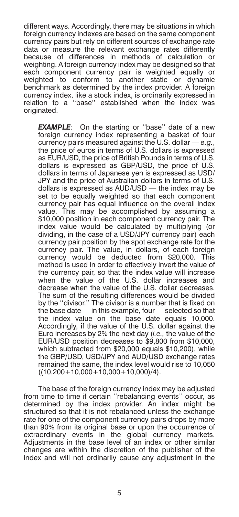different ways. Accordingly, there may be situations in which foreign currency indexes are based on the same component currency pairs but rely on different sources of exchange rate data or measure the relevant exchange rates differently because of differences in methods of calculation or weighting. A foreign currency index may be designed so that each component currency pair is weighted equally or weighted to conform to another static or dynamic benchmark as determined by the index provider. A foreign currency index, like a stock index, is ordinarily expressed in relation to a ''base'' established when the index was originated.

**EXAMPLE**: On the starting or "base" date of a new foreign currency index representing a basket of four currency pairs measured against the U.S. dollar — *e.g.*, the price of euros in terms of U.S. dollars is expressed as EUR/USD, the price of British Pounds in terms of U.S. dollars is expressed as GBP/USD, the price of U.S. dollars in terms of Japanese yen is expressed as USD/ JPY and the price of Australian dollars in terms of U.S. dollars is expressed as AUD/USD — the index may be set to be equally weighted so that each component currency pair has equal influence on the overall index value. This may be accomplished by assuming a \$10,000 position in each component currency pair. The index value would be calculated by multiplying (or dividing, in the case of a USD/JPY currency pair) each currency pair position by the spot exchange rate for the currency pair. The value, in dollars, of each foreign currency would be deducted from \$20,000. This method is used in order to effectively invert the value of the currency pair, so that the index value will increase when the value of the U.S. dollar increases and decrease when the value of the U.S. dollar decreases. The sum of the resulting differences would be divided by the ''divisor.'' The divisor is a number that is fixed on the base date — in this example, four — selected so that the index value on the base date equals 10,000. Accordingly, if the value of the U.S. dollar against the Euro increases by 2% the next day (*i.e.,* the value of the EUR/USD position decreases to \$9,800 from \$10,000, which subtracted from \$20,000 equals \$10,200), while the GBP/USD, USD/JPY and AUD/USD exchange rates remained the same, the index level would rise to 10,050  $((10,200+10,000+10,000+10,000)/4)$ .

The base of the foreign currency index may be adjusted from time to time if certain ''rebalancing events'' occur, as determined by the index provider. An index might be structured so that it is not rebalanced unless the exchange rate for one of the component currency pairs drops by more than 90% from its original base or upon the occurrence of extraordinary events in the global currency markets. Adjustments in the base level of an index or other similar changes are within the discretion of the publisher of the index and will not ordinarily cause any adjustment in the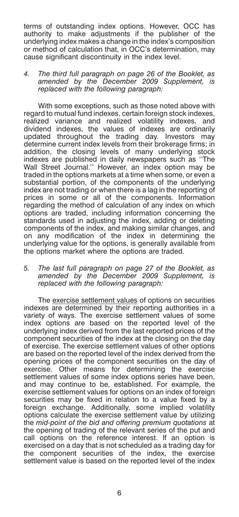terms of outstanding index options. However, OCC has authority to make adjustments if the publisher of the underlying index makes a change in the index's composition or method of calculation that, in OCC's determination, may cause significant discontinuity in the index level.

#### *4. The third full paragraph on page 26 of the Booklet, as amended by the December 2009 Supplement, is replaced with the following paragraph:*

With some exceptions, such as those noted above with regard to mutual fund indexes, certain foreign stock indexes, realized variance and realized volatility indexes, and dividend indexes, the values of indexes are ordinarily updated throughout the trading day. Investors may determine current index levels from their brokerage firms; in addition, the closing levels of many underlying stock indexes are published in daily newspapers such as ''The Wall Street Journal.'' However, an index option may be traded in the options markets at a time when some, or even a substantial portion, of the components of the underlying index are not trading or when there is a lag in the reporting of prices in some or all of the components. Information regarding the method of calculation of any index on which options are traded, including information concerning the standards used in adjusting the index, adding or deleting components of the index, and making similar changes, and on any modification of the index in determining the underlying value for the options, is generally available from the options market where the options are traded.

# *5. The last full paragraph on page 27 of the Booklet, as amended by the December 2009 Supplement, is replaced with the following paragraph:*

The exercise settlement values of options on securities indexes are determined by their reporting authorities in a variety of ways. The exercise settlement values of some index options are based on the reported level of the underlying index derived from the last reported prices of the component securities of the index at the closing on the day of exercise. The exercise settlement values of other options are based on the reported level of the index derived from the opening prices of the component securities on the day of exercise. Other means for determining the exercise settlement values of some index options series have been, and may continue to be, established. For example, the exercise settlement values for options on an index of foreign securities may be fixed in relation to a value fixed by a foreign exchange. Additionally, some implied volatility options calculate the exercise settlement value by utilizing the *mid-point of the bid and offering premium quotations* at the opening of trading of the relevant series of the put and call options on the reference interest. If an option is exercised on a day that is not scheduled as a trading day for the component securities of the index, the exercise settlement value is based on the reported level of the index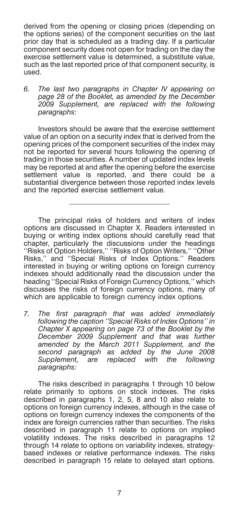derived from the opening or closing prices (depending on the options series) of the component securities on the last prior day that is scheduled as a trading day. If a particular component security does not open for trading on the day the exercise settlement value is determined, a substitute value, such as the last reported price of that component security, is used.

*6. The last two paragraphs in Chapter IV appearing on page 28 of the Booklet, as amended by the December 2009 Supplement, are replaced with the following paragraphs:*

Investors should be aware that the exercise settlement value of an option on a security index that is derived from the opening prices of the component securities of the index may not be reported for several hours following the opening of trading in those securities. A number of updated index levels may be reported at and after the opening before the exercise settlement value is reported, and there could be a substantial divergence between those reported index levels and the reported exercise settlement value.

The principal risks of holders and writers of index options are discussed in Chapter X. Readers interested in buying or writing index options should carefully read that chapter, particularly the discussions under the headings ''Risks of Option Holders,'' ''Risks of Option Writers,'' ''Other Risks,'' and ''Special Risks of Index Options.'' Readers interested in buying or writing options on foreign currency indexes should additionally read the discussion under the heading ''Special Risks of Foreign Currency Options,'' which discusses the risks of foreign currency options, many of which are applicable to foreign currency index options.

*7. The first paragraph that was added immediately following the caption ''Special Risks of Index Options'' in Chapter X appearing on page 73 of the Booklet by the December 2009 Supplement and that was further amended by the March 2011 Supplement, and the second paragraph as added by the June 2008 Supplement, are replaced with the following paragraphs:*

The risks described in paragraphs 1 through 10 below relate primarily to options on stock indexes. The risks described in paragraphs 1, 2, 5, 8 and 10 also relate to options on foreign currency indexes, although in the case of options on foreign currency indexes the components of the index are foreign currencies rather than securities. The risks described in paragraph 11 relate to options on implied volatility indexes. The risks described in paragraphs 12 through 14 relate to options on variability indexes, strategybased indexes or relative performance indexes. The risks described in paragraph 15 relate to delayed start options.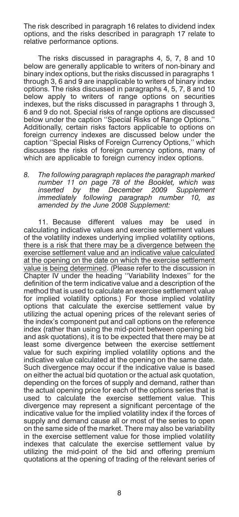The risk described in paragraph 16 relates to dividend index options, and the risks described in paragraph 17 relate to relative performance options.

The risks discussed in paragraphs 4, 5, 7, 8 and 10 below are generally applicable to writers of non-binary and binary index options, but the risks discussed in paragraphs 1 through 3, 6 and 9 are inapplicable to writers of binary index options. The risks discussed in paragraphs 4, 5, 7, 8 and 10 below apply to writers of range options on securities indexes, but the risks discussed in paragraphs 1 through 3, 6 and 9 do not. Special risks of range options are discussed below under the caption "Special Risks of Range Options." Additionally, certain risks factors applicable to options on foreign currency indexes are discussed below under the caption ''Special Risks of Foreign Currency Options,'' which discusses the risks of foreign currency options, many of which are applicable to foreign currency index options.

*8. The following paragraph replaces the paragraph marked number 11 on page 78 of the Booklet, which was inserted by the December 2009 Supplement immediately following paragraph number 10, as amended by the June 2008 Supplement:*

11. Because different values may be used in calculating indicative values and exercise settlement values of the volatility indexes underlying implied volatility options, there is a risk that there may be a divergence between the exercise settlement value and an indicative value calculated at the opening on the date on which the exercise settlement value is being determined. (Please refer to the discussion in Chapter IV under the heading ''Variability Indexes'' for the definition of the term indicative value and a description of the method that is used to calculate an exercise settlement value for implied volatility options.) For those implied volatility options that calculate the exercise settlement value by utilizing the actual opening prices of the relevant series of the index's component put and call options on the reference index (rather than using the mid-point between opening bid and ask quotations), it is to be expected that there may be at least some divergence between the exercise settlement value for such expiring implied volatility options and the indicative value calculated at the opening on the same date. Such divergence may occur if the indicative value is based on either the actual bid quotation or the actual ask quotation, depending on the forces of supply and demand, rather than the actual opening price for each of the options series that is used to calculate the exercise settlement value. This divergence may represent a significant percentage of the indicative value for the implied volatility index if the forces of supply and demand cause all or most of the series to open on the same side of the market. There may also be variability in the exercise settlement value for those implied volatility indexes that calculate the exercise settlement value by utilizing the mid-point of the bid and offering premium quotations at the opening of trading of the relevant series of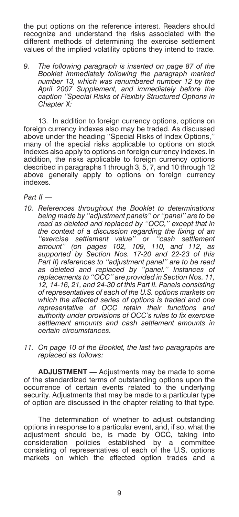the put options on the reference interest. Readers should recognize and understand the risks associated with the different methods of determining the exercise settlement values of the implied volatility options they intend to trade.

*9. The following paragraph is inserted on page 87 of the Booklet immediately following the paragraph marked number 13, which was renumbered number 12 by the April 2007 Supplement, and immediately before the caption ''Special Risks of Flexibly Structured Options in Chapter X:*

13. In addition to foreign currency options, options on foreign currency indexes also may be traded. As discussed above under the heading ''Special Risks of Index Options,'' many of the special risks applicable to options on stock indexes also apply to options on foreign currency indexes. In addition, the risks applicable to foreign currency options described in paragraphs 1 through 3, 5, 7, and 10 through 12 above generally apply to options on foreign currency indexes.

*Part II —*

- *10. References throughout the Booklet to determinations being made by ''adjustment panels'' or ''panel'' are to be read as deleted and replaced by ''OCC,'' except that in the context of a discussion regarding the fixing of an ''exercise settlement value'' or ''cash settlement amount'' (on pages 102, 109, 110, and 112, as supported by Section Nos. 17-20 and 22-23 of this Part II) references to ''adjustment panel'' are to be read as deleted and replaced by ''panel.'' Instances of replacements to ''OCC'' are provided in Section Nos. 11, 12, 14-16, 21, and 24-30 of this Part II. Panels consisting of representatives of each of the U.S. options markets on which the affected series of options is traded and one representative of OCC retain their functions and authority under provisions of OCC's rules to fix exercise settlement amounts and cash settlement amounts in certain circumstances.*
- *11. On page 10 of the Booklet, the last two paragraphs are replaced as follows:*

**ADJUSTMENT —** Adjustments may be made to some of the standardized terms of outstanding options upon the occurrence of certain events related to the underlying security. Adjustments that may be made to a particular type of option are discussed in the chapter relating to that type.

The determination of whether to adjust outstanding options in response to a particular event, and, if so, what the adjustment should be, is made by OCC, taking into consideration policies established by a committee consisting of representatives of each of the U.S. options markets on which the effected option trades and a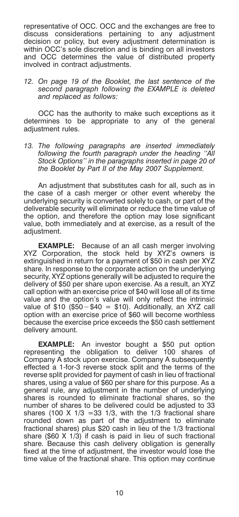representative of OCC. OCC and the exchanges are free to discuss considerations pertaining to any adjustment decision or policy, but every adjustment determination is within OCC's sole discretion and is binding on all investors and OCC determines the value of distributed property involved in contract adjustments.

*12. On page 19 of the Booklet, the last sentence of the second paragraph following the EXAMPLE is deleted and replaced as follows:*

OCC has the authority to make such exceptions as it determines to be appropriate to any of the general adjustment rules.

*13. The following paragraphs are inserted immediately following the fourth paragraph under the heading ''All Stock Options'' in the paragraphs inserted in page 20 of the Booklet by Part II of the May 2007 Supplement.*

An adjustment that substitutes cash for all, such as in the case of a cash merger or other event whereby the underlying security is converted solely to cash, or part of the deliverable security will eliminate or reduce the time value of the option, and therefore the option may lose significant value, both immediately and at exercise, as a result of the adjustment.

**EXAMPLE:** Because of an all cash merger involving XYZ Corporation, the stock held by XYZ's owners is extinguished in return for a payment of \$50 in cash per XYZ share. In response to the corporate action on the underlying security, XYZ options generally will be adjusted to require the delivery of \$50 per share upon exercise. As a result, an XYZ call option with an exercise price of \$40 will lose all of its time value and the option's value will only reflect the intrinsic value of \$10 (\$50-\$40 = \$10). Additionally, an XYZ call option with an exercise price of \$60 will become worthless because the exercise price exceeds the \$50 cash settlement delivery amount.

**EXAMPLE:** An investor bought a \$50 put option representing the obligation to deliver 100 shares of Company A stock upon exercise. Company A subsequently effected a 1-for-3 reverse stock split and the terms of the reverse split provided for payment of cash in lieu of fractional shares, using a value of \$60 per share for this purpose. As a general rule, any adjustment in the number of underlying shares is rounded to eliminate fractional shares, so the number of shares to be delivered could be adjusted to 33 shares (100 X 1/3 =33 1/3, with the 1/3 fractional share rounded down as part of the adjustment to eliminate fractional shares) plus \$20 cash in lieu of the 1/3 fractional share (\$60 X 1/3) if cash is paid in lieu of such fractional share. Because this cash delivery obligation is generally fixed at the time of adjustment, the investor would lose the time value of the fractional share. This option may continue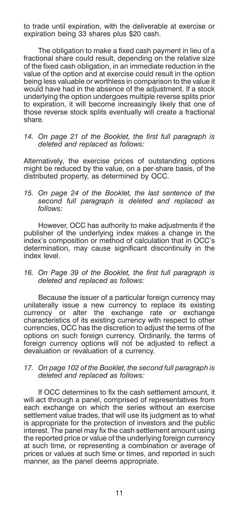to trade until expiration, with the deliverable at exercise or expiration being 33 shares plus \$20 cash.

The obligation to make a fixed cash payment in lieu of a fractional share could result, depending on the relative size of the fixed cash obligation, in an immediate reduction in the value of the option and at exercise could result in the option being less valuable or worthless in comparison to the value it would have had in the absence of the adjustment. If a stock underlying the option undergoes multiple reverse splits prior to expiration, it will become increasingly likely that one of those reverse stock splits eventually will create a fractional share.

*14. On page 21 of the Booklet, the first full paragraph is deleted and replaced as follows:*

Alternatively, the exercise prices of outstanding options might be reduced by the value, on a per-share basis, of the distributed property, as determined by OCC.

*15. On page 24 of the Booklet, the last sentence of the second full paragraph is deleted and replaced as follows:*

However, OCC has authority to make adjustments if the publisher of the underlying index makes a change in the index's composition or method of calculation that in OCC's determination, may cause significant discontinuity in the index level.

*16. On Page 39 of the Booklet, the first full paragraph is deleted and replaced as follows:*

Because the issuer of a particular foreign currency may unilaterally issue a new currency to replace its existing currency or alter the exchange rate or exchange characteristics of its existing currency with respect to other currencies, OCC has the discretion to adjust the terms of the options on such foreign currency. Ordinarily, the terms of foreign currency options will not be adjusted to reflect a devaluation or revaluation of a currency.

# *17. On page 102 of the Booklet, the second full paragraph is deleted and replaced as follows:*

If OCC determines to fix the cash settlement amount, it will act through a panel, comprised of representatives from each exchange on which the series without an exercise settlement value trades, that will use its judgment as to what is appropriate for the protection of investors and the public interest. The panel may fix the cash settlement amount using the reported price or value of the underlying foreign currency at such time, or representing a combination or average of prices or values at such time or times, and reported in such manner, as the panel deems appropriate.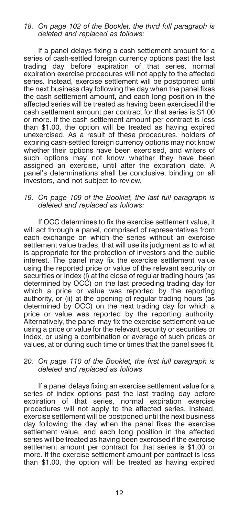# *18. On page 102 of the Booklet, the third full paragraph is deleted and replaced as follows:*

If a panel delays fixing a cash settlement amount for a series of cash-settled foreign currency options past the last trading day before expiration of that series, normal expiration exercise procedures will not apply to the affected series. Instead, exercise settlement will be postponed until the next business day following the day when the panel fixes the cash settlement amount, and each long position in the affected series will be treated as having been exercised if the cash settlement amount per contract for that series is \$1.00 or more. If the cash settlement amount per contract is less than \$1.00, the option will be treated as having expired unexercised. As a result of these procedures, holders of expiring cash-settled foreign currency options may not know whether their options have been exercised, and writers of such options may not know whether they have been assigned an exercise, until after the expiration date. A panel's determinations shall be conclusive, binding on all investors, and not subject to review.

# *19. On page 109 of the Booklet, the last full paragraph is deleted and replaced as follows:*

If OCC determines to fix the exercise settlement value, it will act through a panel, comprised of representatives from each exchange on which the series without an exercise settlement value trades, that will use its judgment as to what is appropriate for the protection of investors and the public interest. The panel may fix the exercise settlement value using the reported price or value of the relevant security or securities or index (i) at the close of regular trading hours (as determined by OCC) on the last preceding trading day for which a price or value was reported by the reporting authority, or (ii) at the opening of regular trading hours (as determined by OCC) on the next trading day for which a price or value was reported by the reporting authority. Alternatively, the panel may fix the exercise settlement value using a price or value for the relevant security or securities or index, or using a combination or average of such prices or values, at or during such time or times that the panel sees fit.

#### *20. On page 110 of the Booklet, the first full paragraph is deleted and replaced as follows*

If a panel delays fixing an exercise settlement value for a series of index options past the last trading day before expiration of that series, normal expiration exercise procedures will not apply to the affected series. Instead, exercise settlement will be postponed until the next business day following the day when the panel fixes the exercise settlement value, and each long position in the affected series will be treated as having been exercised if the exercise settlement amount per contract for that series is \$1.00 or more. If the exercise settlement amount per contract is less than \$1.00, the option will be treated as having expired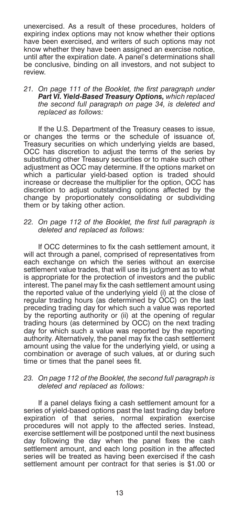unexercised. As a result of these procedures, holders of expiring index options may not know whether their options have been exercised, and writers of such options may not know whether they have been assigned an exercise notice, until after the expiration date. A panel's determinations shall be conclusive, binding on all investors, and not subject to review.

*21. On page 111 of the Booklet, the first paragraph under Part VI. Yield-Based Treasury Options, which replaced the second full paragraph on page 34, is deleted and replaced as follows:*

If the U.S. Department of the Treasury ceases to issue, or changes the terms or the schedule of issuance of, Treasury securities on which underlying yields are based, OCC has discretion to adjust the terms of the series by substituting other Treasury securities or to make such other adjustment as OCC may determine. If the options market on which a particular yield-based option is traded should increase or decrease the multiplier for the option, OCC has discretion to adjust outstanding options affected by the change by proportionately consolidating or subdividing them or by taking other action.

*22. On page 112 of the Booklet, the first full paragraph is deleted and replaced as follows:*

If OCC determines to fix the cash settlement amount, it will act through a panel, comprised of representatives from each exchange on which the series without an exercise settlement value trades, that will use its judgment as to what is appropriate for the protection of investors and the public interest. The panel may fix the cash settlement amount using the reported value of the underlying yield (i) at the close of regular trading hours (as determined by OCC) on the last preceding trading day for which such a value was reported by the reporting authority or (ii) at the opening of regular trading hours (as determined by OCC) on the next trading day for which such a value was reported by the reporting authority. Alternatively, the panel may fix the cash settlement amount using the value for the underlying yield, or using a combination or average of such values, at or during such time or times that the panel sees fit.

# *23. On page 112 of the Booklet, the second full paragraph is deleted and replaced as follows:*

If a panel delays fixing a cash settlement amount for a series of yield-based options past the last trading day before expiration of that series, normal expiration exercise procedures will not apply to the affected series. Instead, exercise settlement will be postponed until the next business day following the day when the panel fixes the cash settlement amount, and each long position in the affected series will be treated as having been exercised if the cash settlement amount per contract for that series is \$1.00 or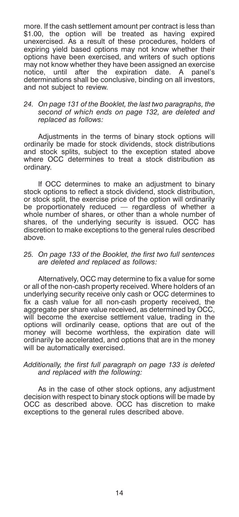more. If the cash settlement amount per contract is less than \$1.00, the option will be treated as having expired unexercised. As a result of these procedures, holders of expiring yield based options may not know whether their options have been exercised, and writers of such options may not know whether they have been assigned an exercise notice, until after the expiration date. A panel's determinations shall be conclusive, binding on all investors, and not subject to review.

# *24. On page 131 of the Booklet, the last two paragraphs, the second of which ends on page 132, are deleted and replaced as follows:*

Adjustments in the terms of binary stock options will ordinarily be made for stock dividends, stock distributions and stock splits, subject to the exception stated above where OCC determines to treat a stock distribution as ordinary.

If OCC determines to make an adjustment to binary stock options to reflect a stock dividend, stock distribution, or stock split, the exercise price of the option will ordinarily be proportionately reduced — regardless of whether a whole number of shares, or other than a whole number of shares, of the underlying security is issued. OCC has discretion to make exceptions to the general rules described above.

# *25. On page 133 of the Booklet, the first two full sentences are deleted and replaced as follows:*

Alternatively, OCC may determine to fix a value for some or all of the non-cash property received. Where holders of an underlying security receive only cash or OCC determines to fix a cash value for all non-cash property received, the aggregate per share value received, as determined by OCC, will become the exercise settlement value, trading in the options will ordinarily cease, options that are out of the money will become worthless, the expiration date will ordinarily be accelerated, and options that are in the money will be automatically exercised.

# *Additionally, the first full paragraph on page 133 is deleted and replaced with the following:*

As in the case of other stock options, any adjustment decision with respect to binary stock options will be made by OCC as described above. OCC has discretion to make exceptions to the general rules described above.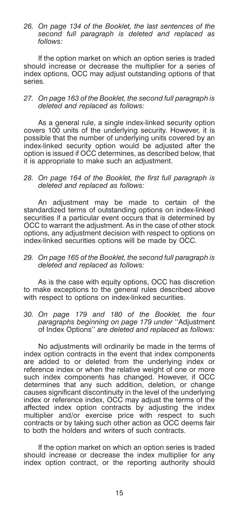*26. On page 134 of the Booklet, the last sentences of the second full paragraph is deleted and replaced as follows:*

If the option market on which an option series is traded should increase or decrease the multiplier for a series of index options, OCC may adjust outstanding options of that series.

# *27. On page 163 of the Booklet, the second full paragraph is deleted and replaced as follows:*

As a general rule, a single index-linked security option covers 100 units of the underlying security. However, it is possible that the number of underlying units covered by an index-linked security option would be adjusted after the option is issued if OCC determines, as described below, that it is appropriate to make such an adjustment.

#### *28. On page 164 of the Booklet, the first full paragraph is deleted and replaced as follows:*

An adjustment may be made to certain of the standardized terms of outstanding options on index-linked securities if a particular event occurs that is determined by OCC to warrant the adjustment. As in the case of other stock options, any adjustment decision with respect to options on index-linked securities options will be made by OCC.

#### *29. On page 165 of the Booklet, the second full paragraph is deleted and replaced as follows:*

As is the case with equity options, OCC has discretion to make exceptions to the general rules described above with respect to options on index-linked securities.

*30. On page 179 and 180 of the Booklet, the four paragraphs beginning on page 179 under* ''Adjustment of Index Options'' *are deleted and replaced as follows:*

No adjustments will ordinarily be made in the terms of index option contracts in the event that index components are added to or deleted from the underlying index or reference index or when the relative weight of one or more such index components has changed. However, if OCC determines that any such addition, deletion, or change causes significant discontinuity in the level of the underlying index or reference index, OCC may adjust the terms of the affected index option contracts by adjusting the index multiplier and/or exercise price with respect to such contracts or by taking such other action as OCC deems fair to both the holders and writers of such contracts.

If the option market on which an option series is traded should increase or decrease the index multiplier for any index option contract, or the reporting authority should